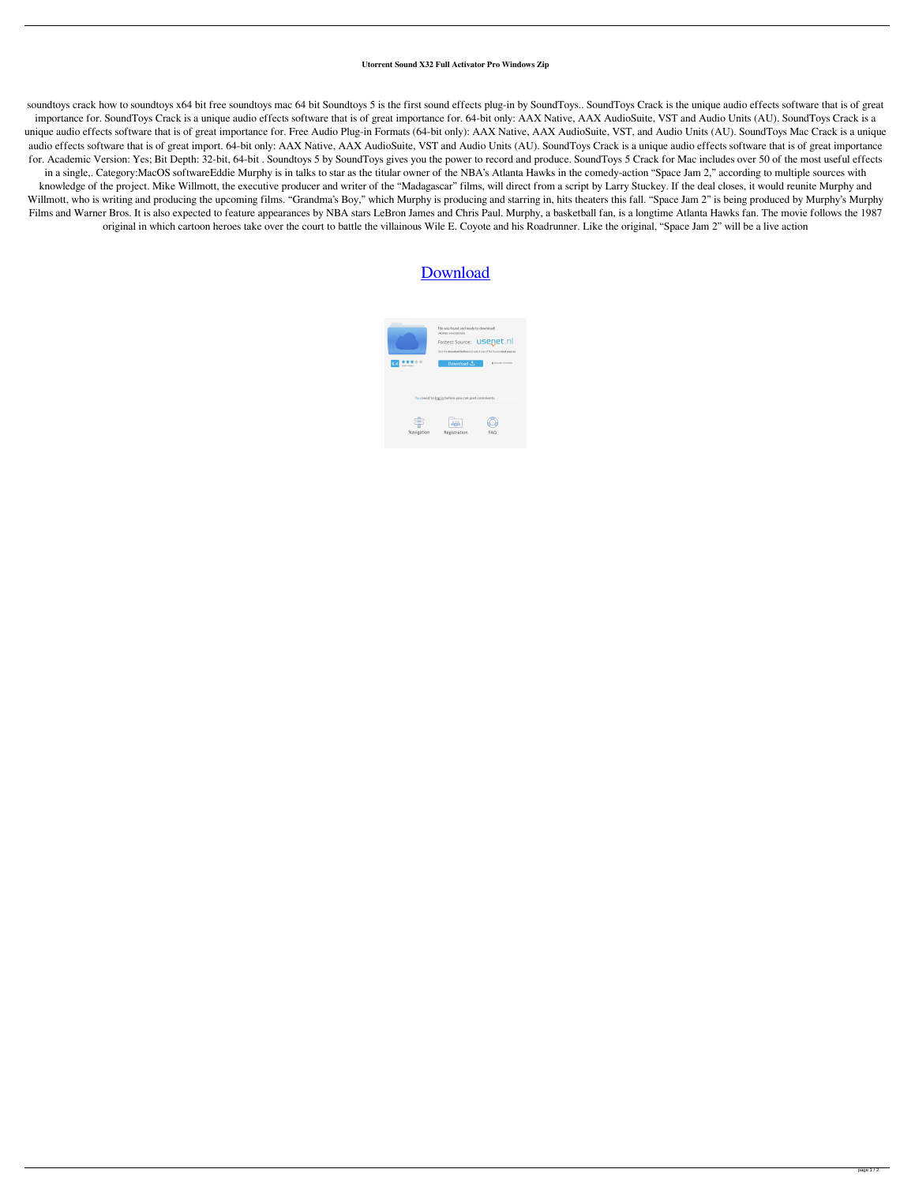## **Utorrent Sound X32 Full Activator Pro Windows Zip**

soundtoys crack how to soundtoys x64 bit free soundtoys mac 64 bit Soundtoys 5 is the first sound effects plug-in by SoundToys.. SoundToys Crack is the unique audio effects software that is of great importance for. SoundToys Crack is a unique audio effects software that is of great importance for. 64-bit only: AAX Native, AAX AudioSuite, VST and Audio Units (AU). SoundToys Crack is a unique audio effects software that is of great importance for. Free Audio Plug-in Formats (64-bit only): AAX Native, AAX AudioSuite, VST, and Audio Units (AU). SoundToys Mac Crack is a unique audio effects software that is of great import. 64-bit only: AAX Native, AAX AudioSuite, VST and Audio Units (AU). SoundToys Crack is a unique audio effects software that is of great importance for. Academic Version: Yes; Bit Depth: 32-bit, 64-bit . Soundtoys 5 by SoundToys gives you the power to record and produce. SoundToys 5 Crack for Mac includes over 50 of the most useful effects in a single,. Category:MacOS softwareEddie Murphy is in talks to star as the titular owner of the NBA's Atlanta Hawks in the comedy-action "Space Jam 2," according to multiple sources with knowledge of the project. Mike Willmott, the executive producer and writer of the "Madagascar" films, will direct from a script by Larry Stuckey. If the deal closes, it would reunite Murphy and Willmott, who is writing and producing the upcoming films. "Grandma's Boy," which Murphy is producing and starring in, hits theaters this fall. "Space Jam 2" is being produced by Murphy's Murphy Films and Warner Bros. It is also expected to feature appearances by NBA stars LeBron James and Chris Paul. Murphy, a basketball fan, is a longtime Atlanta Hawks fan. The movie follows the 1987 original in which cartoon heroes take over the court to battle the villainous Wile E. Coyote and his Roadrunner. Like the original, "Space Jam 2" will be a live action

## **[Download](http://evacdir.com/balazs?c291bmR0b3lzIDY0IGJpdCBhdSBjcmFjawc29=extraterrestrial&flinthoff=freshen&unsaturated=&mwagusi=ZG93bmxvYWR8VVI0YjNsd2ZId3hOalV5TnpRd09EWTJmSHd5TlRjMGZId29UU2tnY21WaFpDMWliRzluSUZ0R1lYTjBJRWRGVGww)**